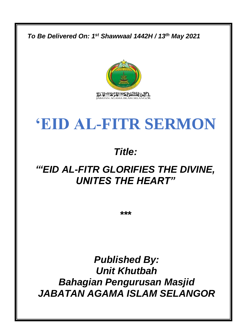

*Published By: Unit Khutbah Bahagian Pengurusan Masjid JABATAN AGAMA ISLAM SELANGOR*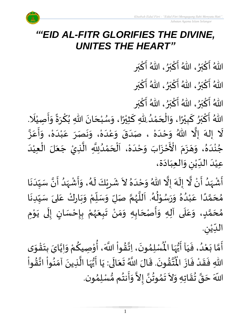

# *"'EID AL-FITR GLORIFIES THE DIVINE, UNITES THE HEART"*

اللّهُ أَكْبَرُ، اللّهُ أَكْبَرُ، اللّهُ أَكْبَر  $\frac{1}{2}$ بر ْ  $\frac{1}{2}$ ፟<br>፟  $\frac{1}{2}$ بر ْ  $\frac{1}{2}$ ُ  $\frac{1}{2}$ بر ؚ<br>ما  $\frac{1}{2}$ 

اللّهُ أَكْبَرُ، اللّهُ أَكْبَرُ، اللّهُ أَكْبَر  $\frac{1}{2}$ بر ْ  $\frac{1}{2}$ ፟<br>፟  $\frac{1}{2}$ بر ْ  $\frac{1}{2}$ <sub>ይ</sub><br>◆  $\frac{1}{2}$ بر ْ  $\ddot{\cdot}$ 

اللّهُ أَكْبَرُ، اللّهُ أَكْبَرُ، اللّهُ أَكْبَر  $\frac{1}{2}$ بر ْ  $\frac{1}{2}$ ፟<br>፟  $\frac{1}{2}$ بر ْ  $\frac{1}{2}$ ُ  $\frac{1}{2}$ بر ؚ<br>ما  $\frac{1}{2}$ 

ً<br>آ ..<br>اللّهُ أَكْبَرُ كَبِيْرًا، وَالْحَمْدُ لِلّهِ كَثِيْرًا، وَسُبْحَانَ اللّهِ بُكْرَةً وَأَصِيْلَا. ْ  $\ddot{\cdot}$  $\frac{1}{2}$  $\sum_{i=1}^{n}$  $\frac{1}{2}$ ْ ِ<br>پ  $\ddot{\phantom{0}}$  $\overline{\phantom{a}}$ ֦֧֦֧֝<u>֚</u> ر<br>م  $\frac{1}{2}$  $\frac{1}{2}$ ْ ا<br>ما  $\overline{\phantom{a}}$ ِ<br>ُا ់<br>។  $\overline{\phantom{a}}$ ֝֝֝֝֝֝֝֝֝<br>֧֝֝֝֝<br>**֡**  $\frac{1}{2}$ ً<br>پ ْ ي  $\ddot{\mathbf{r}}$ ์<br>-<br>-بو<br>♦ ֝֝<br>֧֛֝<br>֧֖֚֝֝֝֝֝֝֝֝֝֝֝֟֬֟֓֟֬֟֓֟֬֟֓֟֬֟֟֬֟֓֟֬֟֓֟֓֟֬֟֓֟֓֟֬֝֟֓֟֬ بر ا<br>د ।<br>: .ر د جو بير ر حمد الله عنه و الله عنه و الله عنه و الله عنه .<br>لا إله إلَّا اللهُ وَحْدَهْ ، صَدَقَ وَعْدَهْ، وَنَصَرَ عَبْدَهْ، وَأَعَزَّ ا<br>الم –<br>نہ  $\frac{1}{2}$ ।<br>⊧ ٝ<br>ؙ  $\frac{1}{1}$ ْ ا<br>-<br>^ ان<br>ا ِ<br>م ِ<br>پ  $\frac{1}{2}$ ْ  $\frac{1}{1}$ ֦֚֝<br>֧֝֝֝֝֝֟<mark>֦</mark> ِ<br>م  $\sim$  $\ddot{\phantom{0}}$ ์ $\overline{\phantom{a}}$ .<br>ا -<br>، .<br>م  $\frac{1}{2}$  $\ddot{\cdot}$  $\overline{\phantom{a}}$ ۔<br>أَحْزَابَ وَحْدَهْ، ٝ<br>ؙ  $\frac{1}{1}$ ْ  $\tilde{\phantom{a}}$  $\ddot{\phantom{0}}$ ْ 9<br>دُ ۽ جُنْدَهُ، وَهَزَمَ الْأَحْزَابَ وَحْدَهْ، اَلْحَمْدُلِلَّهِ الَّذِيْ جَعَلَ الْعِيْدَ  $\frac{1}{2}$  $\ddot{\phantom{0}}$  $\overline{\phantom{a}}$ ا<br>م بر<br>▲ غ<br>م ْ ِّ ا<br>د ់<br>រ ر<br>ا  $\ddot{\phantom{0}}$ َ ے<br>ڈ ا<br>تار .<br>م ْ<br>م ्<br>। י<br>∖  $\ddot{\phantom{0}}$ عِيْدَ الدِّيْنِ وَالْعِبَادَة،  $\sim$  $\frac{1}{1}$  $\tilde{\cdot}$ ا<br>ا  $\frac{1}{1}$ ۔<br>۔<br>، ٝ<br>ؙ **ا**

ا<br>تار<br>ا أَشْهَدُ أَنْ لَّا إِلَهَ إِلَّا اللّهُ وَحْدَهُ لاَ شَرِيْكَ لَهُ، وَأَشْهَدُ أَنَّ سَيِّدَنَا ْ  $\ddot{\cdot}$ ِ<br>ُا  $\frac{1}{2}$ ْ  $\ddot{\cdot}$  $\ddot{\cdot}$ ِ<br>ُ  $\frac{1}{2}$ ْ  $\ddot{\cdot}$  $\frac{1}{2}$ ء<br>لم  $\tilde{\mathbf{r}}$ ٝ<br>ؙ ِ  $\frac{1}{2}$  $\tilde{\phantom{a}}$ بر<br>▲  $\frac{1}{1}$ ْ  $\frac{1}{2}$ ا<br>الم ં<br>ત  $\tilde{\mathbf{r}}$  $\frac{1}{2}$  $\ddot{\phantom{0}}$  $\frac{1}{1}$  $\frac{1}{1}$ ن<br>• مُحَمَّدًا عَبْدُهُ وَرَسُوْلُهُ. اَللَّهُمَّ صَلِّ وَسَلِّمْ وَبَارِكْ عَلىَ سَيِّدِنَا ्<br>न<br>र ۔<br>ر  $\ddot{\phantom{0}}$ ِ<br>م ّ<br>وُ ່ $\overline{\phantom{a}}$  $\frac{1}{2}$ ْ ֦֡֜<br>֧֛ ند<br>م ن<br>م ر<br>ر<br>ر ا<br>ا ر<br>آ ر<br>پر ں<br>م ֧֦֘֒ ُ<br>ُ  $\frac{1}{\sqrt{2}}$  $\ddot{\phantom{0}}$ ء<br>م⊀ <br>ا ់<br>រ .<br>م ً<br>ا ن<br>م  $\overline{\phantom{a}}$  $\frac{1}{2}$ **∕** مُحَمَّدٍ، وَعَلَى آلِهِ وَأَصْحَابِهِ وَمَنْ تَبِعَهُمْ بِإِحْسَانٍ إِلَى يَوْمِ ْ ِ<br>ِءَ  $\ddot{\phantom{0}}$ ل  $\frac{1}{2}$ )<br>إ ْ ْ **ر**<br>-ا<br>ف ़<br>}<br>/- $\ddot{\phantom{0}}$  $\frac{1}{2}$ ؙ<br>ٝ  $\frac{1}{2}$  $\frac{1}{2}$  $\overline{\phantom{a}}$ للہ<br>:  $\tilde{\cdot}$ ا<br>آ ِ<br>م  $\frac{1}{2}$ <u>ليا</u> ت<br>م  $\overline{\phantom{a}}$  $\frac{1}{2}$ ِ الدِّيْنِ. ْ  $\frac{1}{1}$ 

ْ ِ<br>لِّمُسْلِمُونَ، اِتَّقُواْ  $\frac{1}{2}$ ن<br>\*  $\ddot{\phantom{0}}$ ›<br>ለ أَمَّا بَعْدُ، فَيَاۤ أَيُّهَا الْمُسْلِمُونَ، اِتَّقُواْ اللَّهَ، أُوْصِيكُمْ وَاِيَّايَ بِتَقْوَى ِ<br>ہار<br>مار <sup>ا</sup>ً وُ  $\frac{1}{2}$  $\frac{1}{1}$  $\ddot{\cdot}$ ر<br>ا ំ<br>**រ**  $\ddot{\phantom{0}}$ ن<br>م  $\frac{1}{2}$  $\ddot{\ }$ ֦֧֦֧֦֧֟֝<u>֦</u>  $\ddot{\phantom{0}}$ **ؚ** ن<br>•  $\frac{1}{2}$  $\ddot{\ }$ ៝<br><del>៹</del> ِ<br>م ֦֧֦֧֦ ر<br>مذ اللَّهَ، أُوْصِيكُمْ وَإِيَّايَ بِتَقْوَى<br>أَسْمَا أَوْصِيكُمْ وَإِيَّاءِ ۚ إِيَّاءَ ۚ - مستوى وسيستان الله عليه السيستان والمستوى السيستان والسيستان.<br>تَتَّقُونَ. قَالَ اللَّهُ تَعَالَى: يَا أَيُّهَا الَّذِينَ آمَنُواْ اتَّقُواْ ⁄<br>}<br>1 ان<br>\* ْ ب<br>ڊ  $\frac{1}{2}$  $\frac{1}{2}$ ا<br>ان<br>ا ِ<br>ہونہ<br>مقا َ<br>وُلِ ا<br>:<br>:  $\ddot{\phantom{0}}$ َ ر<br>•  $\ddot{\phantom{0}}$  $\ddot{\tilde{}}$ ិ៍  $\frac{1}{2}$ ا<br>اس<br>ج لاءِ<br>پڻ اللهِ فَقَدْ فَازَ الْمُ ُ<br>په  $\frac{1}{2}$ ْ  $\frac{1}{2}$ ्<br>: حَقَّ تُقَاتِهِ وَلاَ تَمُوتُنَّ إِلاَّ وَأَنتُم مُّسْلِمُون ›<br>ለ ້ $\frac{3}{2}$ }<br>፟ ا<br>:<br>:  $\frac{1}{2}$ ات<br>ا ن<br>• }<br>\* `<br>^ ∕<br>\* َ  $\ddot{\phantom{0}}$  $\frac{1}{2}$ ُ ن<br>م  $\overline{\phantom{a}}$ َ –<br>ِ<br>ا ا اللَّهَ حَقَّ تُقَاتِهِ وَلاَ تَمُوتُنَّ إِلاَّ وَأَنتُم مُّسْلِمُون.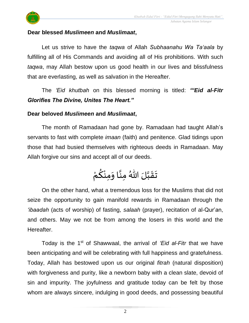



## **Dear blessed** *Muslimeen* **and** *Muslimaat***,**

Let us strive to have the *taqwa* of Allah *Subhaanahu Wa Ta'aala* by fulfilling all of His Commands and avoiding all of His prohibitions. With such *taqwa*, may Allah bestow upon us good health in our lives and blissfulness that are everlasting, as well as salvation in the Hereafter.

The *'Eid khutbah* on this blessed morning is titled: *"'Eid al-Fitr Glorifies The Divine, Unites The Heart."*

## **Dear beloved** *Muslimeen* **and** *Muslimaat***,**

The month of Ramadaan had gone by. Ramadaan had taught Allah's servants to fast with complete *imaan* (faith) and penitence. Glad tidings upon those that had busied themselves with righteous deeds in Ramadaan. May Allah forgive our sins and accept all of our deeds.

#### $\ddot{\phantom{0}}$ تَقَبَّلَ اللّٰهُ مِنَّا وَمِنْكُمْ  $\frac{1}{2}$ ان<br>ا ان<br>ب  $\frac{1}{2}$ ْ <u>ل</u> ้<br>้

On the other hand, what a tremendous loss for the Muslims that did not seize the opportunity to gain manifold rewards in Ramadaan through the *'ibaadah* (acts of worship) of fasting, *salaah* (prayer), recitation of al-Qur'an, and others. May we not be from among the losers in this world and the Hereafter.

Today is the 1st of Shawwaal, the arrival of *'Eid al-Fitr* that we have been anticipating and will be celebrating with full happiness and gratefulness. Today, Allah has bestowed upon us our original *fitrah* (natural disposition) with forgiveness and purity, like a newborn baby with a clean slate, devoid of sin and impurity. The joyfulness and gratitude today can be felt by those whom are always sincere, indulging in good deeds, and possessing beautiful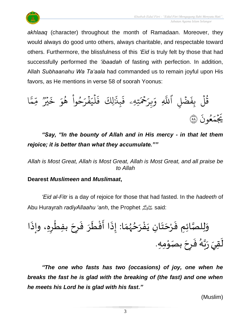

*akhlaaq* (character) throughout the month of Ramadaan. Moreover, they would always do good unto others, always charitable, and respectable toward others. Furthermore, the blissfulness of this *'Eid* is truly felt by those that had successfully performed the *'ibaadah* of fasting with perfection. In addition, Allah *Subhaanahu Wa Ta'aala* had commanded us to remain joyful upon His favors, as He mentions in verse 58 of soorah Yoonus:



*"Say, "In the bounty of Allah and in His mercy - in that let them rejoice; it is better than what they accumulate.""*

*Allah is Most Great, Allah is Most Great, Allah is Most Great, and all praise be to Allah*

# **Dearest** *Muslimeen* **and** *Muslimaat***,**

*'Eid al-Fitr* is a day of rejoice for those that had fasted. In the *hadeeth* of Abu Hurayrah *radiyAllaahu 'anh*, the Prophet صلى الله عليه وسلمsaid:

ا َ ِِه، وإذ ر ْ ِفط ب َ ِح ر َ ف َ ر َ ط ْ ف َ ا أ َ ِذ ا: إ َ م ُ ه ُ ح َ ر ْ ف َ ِن ي ا َ ت َ ح ْ ر َ ِ ِم ف صائ ا ِ ل ل َ و ِمِه ْ و بصَ َ ِح ر َ ف ُ ه ا ب َ ر ِقيَ َ ل .

*"The one who fasts has two (occasions) of joy, one when he breaks the fast he is glad with the breaking of (the fast) and one when he meets his Lord he is glad with his fast."* 

(Muslim)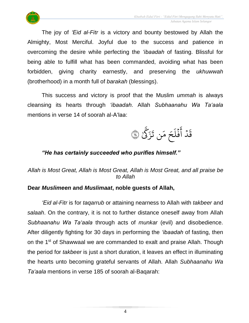

The joy of *'Eid al-Fitr* is a victory and bounty bestowed by Allah the Almighty, Most Merciful. Joyful due to the success and patience in overcoming the desire while perfecting the *'ibaadah* of fasting. Blissful for being able to fulfill what has been commanded, avoiding what has been forbidden, giving charity earnestly, and preserving the *ukhuwwah* (brotherhood) in a month full of *barakah* (blessings).

This success and victory is proof that the Muslim *ummah* is always cleansing its hearts through *'ibaadah*. Allah *Subhaanahu Wa Ta'aala* mentions in verse 14 of soorah al-A'laa:



# *"He has certainly succeeded who purifies himself."*

# *Allah is Most Great, Allah is Most Great, Allah is Most Great, and all praise be to Allah*

# **Dear** *Muslimeen* **and** *Muslimaat***, noble guests of Allah,**

*'Eid al-Fitr* is for *taqarrub* or attaining nearness to Allah with *takbeer* and *salaah*. On the contrary, it is not to further distance oneself away from Allah *Subhaanahu Wa Ta'aala* through acts of *munkar* (evil) and disobedience. After diligently fighting for 30 days in performing the *'ibaadah* of fasting, then on the 1<sup>st</sup> of Shawwaal we are commanded to exalt and praise Allah. Though the period for *takbeer* is just a short duration, it leaves an effect in illuminating the hearts unto becoming grateful servants of Allah. Allah *Subhaanahu Wa Ta'aala* mentions in verse 185 of soorah al-Baqarah: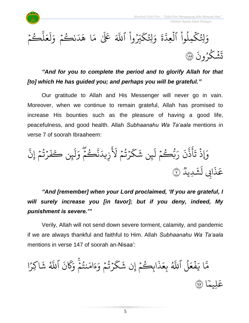

 $\frac{1}{2}$ ،<br>نگم ر ِ<br>ا د  $\tilde{\lambda}$ ا ه ِ<br>م بر<br>م كَبِّرُواْ ٱللَّهَ عَلَىٰ ە<br>أ ُ ك ِِل ور ر<br>م و  $\ddot{\tilde{}}$  $\frac{1}{2}$ بر<br>۱ لِتُكْمِلُوا الْعِدَّ ہ<br>1 ە<br>أ و<br>ا ر<br>م و<br>په ر<br>م وَلِّئِكْمِلُوا الْعِدَّةَ وَلِّئِكَبِّرُوا اللَّهَ عَلَىٰ مَا هَدَنْكُمْ وَلَعَلْكُمْ  $\frac{1}{2}$ ر بة<br>ا  $\uplambda$  $\frac{1}{2}$ ع ِ<br>ا ل ر<br>م و  $\ddot{\cdot}$ نشكرُونَ و<br>، ر ្ធ  $\ddot{\cdot}$ تَشَكَّرُونَ ۞

*"And for you to complete the period and to glorify Allah for that [to] which He has guided you; and perhaps you will be grateful."*

Our gratitude to Allah and His Messenger will never go in vain. Moreover, when we continue to remain grateful, Allah has promised to increase His bounties such as the pleasure of having a good life, peacefulness, and good health. Allah *Subhaanahu Wa Ta'aala* mentions in verse 7 of soorah Ibraaheem:

َ َ ل ۡ م ُ ت ۡ ر َ ك َ ِن ش ئ َ ل ۡ م ُ ُّك ب َ ر َ ن ه ذ َ أ َ ت ۡ ِإَوذ ه إِن ۡ م ُ ت ۡ ر َ ف ِن كَ ئ َ ل َ و ۡ م ُ ك ه ن َ يد ِ ز ٞ ِديد َ ش َ ِِب ل ا َ ذ <sup>ع</sup> <sup>٧</sup> َ

*"And [remember] when your Lord proclaimed, 'If you are grateful, I will surely increase you [in favor]; but if you deny, indeed, My punishment is severe.'"*

Verily, Allah will not send down severe torment, calamity, and pandemic if we are always thankful and faithful to Him. Allah *Subhaanahu Wa Ta'aala* mentions in verse 147 of soorah an-Nisaa':

ا ً<br>م اكِر ় ش و<br>هُ اللَّهُ  $\ddot{\cdot}$ ن ر<br>م  $\overline{\mathcal{R}}$ ِر<br>م نتُمْ وَ ֧֖֧֦֧֦֦֧֦֧֦֧֦֧֦֧֦֧֦֧֦֦֧֦֧֦֧֦֧֦֧֦֧֦֧֦֧֦֧֦֧֧֦֧֧֦֧֟֟֟֟֟֟֟֟֟֟֟֟֬֟֟֬֟֟֟֟֬֟֟֩֕֟֩֕֟֩֬֝֬֝֬<br>֧֧֪֪֪֪֧֪֪֪֪֪֪֪֪֜֜ こっ و<br>په ِ<br>م ام ر<br>ء ء ِ<br>م ئرنسم وَ  $\frac{1}{2}$ و<br>په ؚ<br>ۣ ر<br>م ك ় ابِڪُمۡۚ إِن شَ  $\frac{1}{2}$ و  $\ddot{\cdot}$ ذ  $\frac{1}{2}$ بِعَ و<br>هُ لَّ اللَّهُ و<br>ا  $\frac{1}{2}$ ع ف  $\ddot{\cdot}$ ِ<br>پ ا ي بر<br>م ت<br>م ا ֦֧֦֝<br>֧֝֝ لِيم عَلِيمًا (١٤٧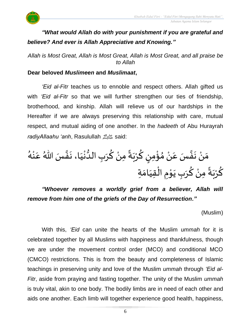

# *"What would Allah do with your punishment if you are grateful and believe? And ever is Allah Appreciative and Knowing."*

*Allah is Most Great, Allah is Most Great, Allah is Most Great, and all praise be to Allah*

## **Dear beloved** *Muslimeen* **and** *Muslimaat***,**

*'Eid al-Fitr* teaches us to ennoble and respect others. Allah gifted us with *'Eid al-Fitr* so that we will further strengthen our ties of friendship, brotherhood, and kinship. Allah will relieve us of our hardships in the Hereafter if we are always preserving this relationship with care, mutual respect, and mutual aiding of one another. In the *hadeeth* of Abu Hurayrah *radiyAllaahu 'anh*, Rasulullah صلى الله عليه وسلمsaid:

ر<br>گر مَنْ نَفَّسَ عَنْ مُؤْمِنٍ كُرْبَةً مِنْ كُرَبِ الْدُّنْيَا، نَفَّسَ اللّهُ عَنْهُ ْ ِ<br>م ان<br>•  $\ddot{\phantom{0}}$  $\frac{1}{1}$ ֦֧<u>֚</u> بر<br>و  $\overline{\phantom{a}}$ ا<br>م ْ ً<br>م•ّ  $\ddot{\phantom{0}}$ ْ <u>ل</u> ر<br>! ់<br>:  $\frac{1}{2}$ ْ ِ<br>م ان<br>•  $\ddot{\phantom{0}}$ ْ  $\frac{1}{2}$ كُرْبَةً مِنْ كُرَبِ يَوْمِ الْقِيَامَةِ  $\frac{1}{2}$  $\frac{1}{1}$ ֝֟֟֟֟֟֟֟֟֟֟֟֟֟֟֟֟֟֟֟֟֟֟֟֟֟֟֟֟֟֟֟֟֩֕֟<br>֖֝֩֝֩֩֩֩֩֩֓֟֓֟֓֟֓֟֓֟֓֟֓֟֓֟֩֩֩֓֝֟֓֟֓֟֓֟֩֩֩ **→** ֦֧֦  $\ddot{\phantom{0}}$  $\frac{1}{2}$ المناطقية<br>مناطقين ْ ً<br>پ  $\ddot{\phantom{0}}$ ْ ِ<br>م

# *"Whoever removes a worldly grief from a believer, Allah will remove from him one of the griefs of the Day of Resurrection."*

(Muslim)

With this, *'Eid* can unite the hearts of the Muslim *ummah* for it is celebrated together by all Muslims with happiness and thankfulness, though we are under the movement control order (MCO) and conditional MCO (CMCO) restrictions. This is from the beauty and completeness of Islamic teachings in preserving unity and love of the Muslim *ummah* through *'Eid al-Fitr*, aside from praying and fasting together. The unity of the Muslim *ummah* is truly vital, akin to one body. The bodily limbs are in need of each other and aids one another. Each limb will together experience good health, happiness,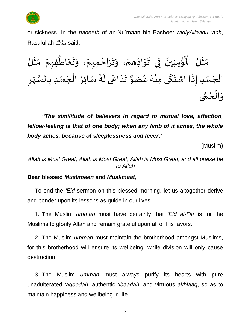

or sickness. In the *hadeeth* of an-Nu'maan bin Basheer *radiyAllaahu 'anh*, Rasulullah صلى الله عليه وسلمsaid:

 $\frac{1}{2}$ ُؤْمِنِينَ فِي تَوَادِّهِمْ، وَتَرَاحُمِهِمْ، وَتَ  $\frac{1}{2}$ ْ ر<br>د  $\frac{1}{2}$  $\ddot{\phantom{0}}$  $\tilde{\phantom{a}}$ ْ  $\frac{1}{2}$  $\ddot{\ }$  $\ddot{\phantom{0}}$  $\ddot{\phantom{0}}$ ់<br>:  $\mathbf{r}^{\circ}$ مَثَلُ الْمُؤْمِنِينَ فِي تَوَادِّهِمْ، وَتَرَاحُمِهِمْ، وَتَعَاطُفِهِمْ مَثَلُ  $\frac{1}{2}$  $\frac{1}{2}$  $\frac{1}{2}$  $\frac{1}{2}$ ْ ፟<br>፟  $\ddot{\phantom{0}}$ <u>ر</u> تَدَاعَى لَهُ سَائِرُ الْجَسَدِ بِالسَّهَرِ  $\frac{1}{2}$ ن<br>سا ر<br>-<br>- $\overline{\phantom{a}}$ `<br>ا ِ<br>پ د<br>گ  $\tilde{\mathbf{r}}$ ِ<br>م  $\frac{1}{1}$ ا<br>۔<br>•  $\frac{1}{2}$ الْجَس*َد*ِ إِذَا اشْتَكَى مِنْهُ عُضْوٌ و<br>م ر<br>ر<br>ار د<br>فيل .<br>- $\ddot{\phantom{0}}$ .<br>،<br>،  $\ddot{\cdot}$  $\overline{\phantom{a}}$ ֦֧֦֧֦֧֦֧֦֧֦֧֦֧֧֦֧֧֝֟֓֓֓֜֓֟֓֜֓֓<u>֖֚֓</u> وَالْحُمَّى ت<br>م ِ<br>ِ ْ  $\frac{1}{2}$ 

*"The similitude of believers in regard to mutual love, affection, fellow-feeling is that of one body; when any limb of it aches, the whole body aches, because of sleeplessness and fever."* 

(Muslim)

*Allah is Most Great, Allah is Most Great, Allah is Most Great, and all praise be to Allah*

# **Dear blessed** *Muslimeen* **and** *Muslimaat***,**

To end the *'Eid* sermon on this blessed morning, let us altogether derive and ponder upon its lessons as guide in our lives.

1. The Muslim *ummah* must have certainty that *'Eid al-Fitr* is for the Muslims to glorify Allah and remain grateful upon all of His favors.

2. The Muslim *ummah* must maintain the brotherhood amongst Muslims, for this brotherhood will ensure its wellbeing, while division will only cause destruction.

3. The Muslim *ummah* must always purify its hearts with pure unadulterated *'aqeedah*, authentic *'ibaadah*, and virtuous *akhlaaq*, so as to maintain happiness and wellbeing in life.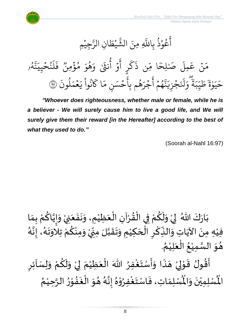

جِيْمِ **ٔ** مبر<br>مبر ِن الر ا  $\frac{1}{2}$ ط ي **ٔ** بر<br>په الش ِ ِمنَ ه عُوْذُ بِاللَّهِ و<br>په **ٔ** و<br>م ِ<br>ع أ و<br>لم و<br>لم بة<br>م نة<br>بد ِ ئ<sub>ى</sub>خ<sub>ىيد</sub>  $\frac{1}{2}$ ُو ِ<br>ا  $\uplambda$  $\tilde{\cdot}$ ف وو<br>• مُؤْمِنٌ ہ<br>ء و<br>م ِرِ و ه و<br>A َ وَ أُنثَىٰ وَ<sub>َ</sub> و<br>ع أ ہ<br>م ِ<br>ج أ ر<br>پ ر ر<br>سم ك  $\ddot{\cdot}$ ِن ذ ں<br>س ا م ٗ لِح صَ َ َٰ ِمل ِ<br>م ع ن ?<br>? ِ<br>م ر<br>م  $\ddot{\cdot}$ لمونَ و<br>ا ر<br>م ح<br>مم  $\frac{1}{2}$ ِرِ نُوا يَـ ْ ُو<br>په ر<br>م ا َك ِرِ ِ<br>حَسَنِ مَ  $\frac{1}{2}$ ۔<br>ء<br>ء ِهُم بِا و<br>ج ِ جَزَ  $\frac{1}{2}$ ِ<br>ج أ  $\frac{1}{2}$ و ۔<br>پهم و ب<br>به نة<br>م ِ<br>پ ي ِ ز ج  $\frac{1}{2}$  $\ddot{\cdot}$ ِ<br>ا َل ِرِ و ֧֧֧֘֝<br>֧֛֝֓׆֧֧֧֧ ة ِ ِب ں<br>س س<br>بد  $\frac{1}{2}$ ط  $\ddot{\tilde{}}$ ة و ે ِ<br>بہ حَيَوٰةَ طَيِّبَةً وَلَنَجْزِيَنَّهُمْ أَجْرَهُم بِأَحْسَنِ مَا كَانُواْ يَعْمَلُونَ ۞

*"Whoever does righteousness, whether male or female, while he is a believer - We will surely cause him to live a good life, and We will surely give them their reward [in the Hereafter] according to the best of what they used to do."*

(Soorah al-Nahl 16:97)

َ<br>و بَارَكَ اللّهُ ۖ لِيْ وَلَكُمْ فِي الْقُرْآنِ الْعَظِيْمِ، وَنَفَعَنِيْ وَإِيَّاكُمْ بِمَا  $\frac{1}{2}$  $\ddot{\phantom{0}}$ ْ  $\ddot{\phantom{0}}$  $\ddot{\bullet}$  $\ddot{\phantom{0}}$  $\frac{1}{2}$ ំ<br>រ  $\frac{1}{2}$ ْ ْ  $\frac{1}{2}$ ֦֧֦֧֦֧֝<u>֦</u> ْ ِ<br>م  $\tilde{\mathbf{r}}$  $\tilde{\cdot}$ ْ  $\frac{1}{2}$ ْ ِ<br>م ا<br>ا<br>ا  $\frac{1}{2}$  $\tilde{\cdot}$ —<br>}<br>1 .<br>فِيْهِ مِنَ الآيَاتِ وَالنِّكْرِ الْحَكِيْمِ وَتَقَبَّلَ مِنِّيْ وَمِنْكُمْ تِلْاوَتَهُ، إِنَّهُ ا<br>تار<br>: ।<br>-<br>-—<br>}<br>1  $\ddot{\phantom{0}}$ د<br>اس ْ ا<br>م ់<br>• ر<br>^ ْ |<br>"<br>"  $\sum$ ن<br>ا  $\frac{1}{2}$  $\ddot{\phantom{0}}$ ्<br>^ ់<br>រ  $\overline{\phantom{a}}$ ْ <u>ر</u> ٔ<br>ْ  $\frac{1}{2}$  $\frac{1}{2}$ ِ<br>پُ ।<br>-<br>• ់<br>រ . ُ هُوَ السَّمِيْعُ الْعَلِيْمُ `<br>، َ ْ ं<br>ै ់<br>រ ا<br>تا ۔<br>۔ ا ۔<br>م أَقُولُ قَوْلِيْ هَذَا وَأَسْتَغْفِرُ اللّٰهَ الْعَظِيْمَ لِيْ وَلَكُمْ وَلِسَاْئِرِ ُי<br><u>י</u>  $\ddot{\phantom{0}}$  $\ddot{\cdot}$  $\tilde{\cdot}$ ֝֟<br>֧֧֦֧֝֟֓֟֓֟֓֟֓֟֓֟֓֟֓֟֟֟֟֟֟֟֟֟֟֟֟֓֟֓֟֝֟֟֟֟֩֕֝֟  $\ddot{\phantom{0}}$ ْ إ ֦֧֦֦֧֝<u>֚</u>  $\ddot{\phantom{0}}$  $\frac{1}{2}$  $\ddot{\cdot}$ <u>ر</u>  $\frac{1}{2}$ ْ ِ<br>م  $\tilde{\mathbf{r}}$  $\frac{1}{2}$ ْ إ  $\frac{1}{2}$ ْ َ ֦֧֦֧֦֧֝<u>֦</u> ُ ري<br>لْمُسْلِمَاتِ، فَاسْتَغْفِرُوْهُ إِنَّهُ هُوَ الْغَفُوْرُ الرَّحِيْمُ ់<br>រ ان<br>ا بر<br>ا∙ ֦֧֦ ••<br>•••  $\frac{1}{2}$ ا<br>ا  $\ddot{\phantom{0}}$ ُ ء<br>گ ا<br>مارچ<br>مارچ ।<br>-<br>-ِ<br>ٌ ֦֧֦֧֦ ٍ<br>ٌ ا<br>ا  $\frac{1}{2}$  $\ddot{\cdot}$  $\frac{1}{\lambda}$ رت<br>لْمُسْلِمِيْنَ وَالْمُ  $\ddot{\ }$  $\ddot{\phantom{0}}$ ْ اْل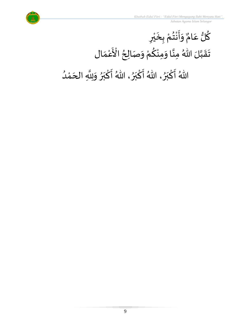

ُ<br>ُ'

#### <u>ل</u> ك لُّ ع ِ<br>م  $\overset{9}{\blacktriangle}$ لمٌ وَأَنْتُمْ بِخَيْرِ  $\frac{1}{2}$  $\ddot{\phantom{a}}$ ْ  $\frac{1}{2}$ ْ  $\ddot{\phantom{0}}$ ْ ي ِ  $\ddot{\phantom{0}}$ تَقَبَّلَ اللّٰهُ مِنَّا وَمِنْكُمْ وَصَالِحُ  $\frac{1}{2}$ ان<br>ا ان<br>ب  $\frac{1}{2}$ ْ ..<br>عر ْ  $\frac{1}{2}$  $\frac{1}{2}$ ُ ة<br>مع الْأَعْمَال ْ<br>م  $\frac{1}{2}$ اللّهُ أَكْبَرُ ، اللّهُ أَكْبَرُ ، اللّهُ أَكْبَرُ وَلِلَّهِ الْحَمْدُ ፟<br>፟  $\frac{1}{2}$ بر ْ  $\frac{1}{2}$ }<br>ት  $\frac{1}{2}$ بر ؚ<br>م  $\frac{1}{2}$  $\frac{1}{2}$  $\frac{1}{2}$ بر ؚ<br>ما ْ  $\overline{\phantom{a}}$ انه<br>ا  $\frac{1}{2}$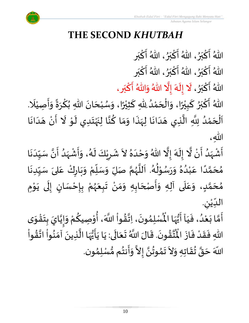

ْ

 *Jabatan Agama Islam Selangor*

# **THE SECOND** *KHUTBAH*

اللّهُ أَكْبَرُ، اللّهُ أَكْبَرُ، اللّهُ أَكْبَر  $\frac{1}{2}$ بر ْ  $\frac{1}{2}$ ፟<br>፟  $\frac{1}{2}$ بر ْ  $\frac{1}{2}$ <sub>ይ</sub><br>◆  $\frac{1}{2}$ بر ْ  $\ddot{\phantom{0}}$ اللّهُ أَكْبَرُ، اللّهُ أَكْبَرُ، اللّهُ أَكْبَر  $\frac{1}{2}$ بر ْ  $\frac{1}{2}$ ፟<br>፟  $\frac{1}{2}$ بر ْ  $\frac{1}{2}$ بر<br>♦  $\frac{1}{2}$ بر ْ  $\frac{1}{2}$ اللّهُ أَكْبَرُ، لَا إِلَهَ إِلَّا اللّهُ وَاللّهُ أَكْبَرٍ، ፟<br>፟  $\frac{1}{1}$ بر ْ  $\frac{1}{2}$ ا<br>الم  $\frac{1}{2}$  $\ddot{\phantom{0}}$ ।<br>-<br>- $\tilde{\cdot}$  $\frac{1}{2}$ بر ؚ<br>ما  $\frac{1}{2}$ <br>م اللّهُ أَكْبَرُ كَبِيْرًا، وَالْحَمْدُ لِلّهِ كَثِيْرًا، وَسُبْحَانَ اللّهِ بُكْرَةً وَأَصِيْلَا.  $\frac{1}{2}$ ً<br>• ْ ์<br>-<br>- $\overline{\phantom{a}}$ <sup>ب</sup><br>ا ْ<br>ْ  $\overline{\phantom{a}}$ ْ  $\frac{1}{2}$ ا<br>په<br>◆ ْ ي  $\ddot{\ddot{\cdot}}$ ์<br>-<br>-ُ<br>ৃ• ें<br>द بر ْ  $\frac{1}{2}$ ً<br>آ ْ  $\ddot{\cdot}$  $\frac{1}{2}$  $\sum_{i=1}^{n}$  $\frac{1}{2}$ ْ ُ<br>ُ  $\ddot{\phantom{0}}$  $\overline{\phantom{a}}$ ֦֧֦֦֧֝<u>֚</u>  $\frac{1}{\sqrt{2}}$ اَلْحَمْدُ لِلَّهِ الَّذِي هَدَانَا لِهَذَا وَمَا كُنَّا لِنَهْتَدِي لَوْ لَا أَنْ هَدَانَا ْ  $\overline{\phantom{a}}$ ْ<br>ْ ِ<br>ُا  $\mathbf{i}$ ا<br>الم ا<br>تار  $\overline{\phantom{a}}$  $\frac{1}{1}$  $\ddot{\phantom{0}}$  $\frac{1}{2}$ ِ<br>په ์  $\frac{1}{2}$ ِ<br>م ا<br>تارىخ  $\ddot{\phantom{0}}$ ْ  $\ddot{\phantom{0}}$  $\tilde{\cdot}$ ֧֦֧֦֝ َ ا<br>:<br>: ا<br>پ ້ $\overline{\phantom{a}}$  $\frac{1}{1}$  $\ddot{\phantom{0}}$ الله، ان<br>ا أَشْهَدُ أَنْ لَّا إِلَهَ إِلَّا اللّهُ وَحْدَهُ لاَ شَرِيْكَ لَهُ، وَأَشْهَدُ أَنَّ سَيِّدَنَا ْ  $\ddot{\phantom{0}}$ ُ<br>ُ  $\frac{1}{2}$ ْ  $\frac{1}{2}$  $\ddot{\phantom{0}}$  $\frac{1}{1}$  $\frac{1}{1}$ ا<br>با<br>•  $\ddot{\phantom{0}}$ ُ<br>ُ'  $\frac{1}{2}$ ْ  $\ddot{\phantom{0}}$  $\frac{1}{2}$ ء<br>لم  $\tilde{\mathbf{r}}$ ٝ<br>ؙ <u>ر</u>  $\frac{1}{2}$  $\sim$ ፟<br>፞  $\frac{1}{1}$ ֦֧֦֧<u>֦</u>  $\frac{1}{2}$ ان<br>الم ં<br>ત  $\tilde{\mathbf{r}}$ ।<br>-<br>-ُ<br>ُ'' مُحَمَّدًا عَبْدُهُ وَرَسُوْلُهُ. اَللَّهُمَّ صَلِّ وَسَلِّمْ وَبَارِكْ عَلىَ سَبِّدِنَا ໌ $\overline{a}$  $\frac{1}{2}$ بر<br>م ُ<br>ُ' ់<br>រ ِ<br>م ً<br>ا ن<br>م  $\overline{\phantom{a}}$  $\frac{1}{2}$  $\ddot{\phantom{0}}$  $\frac{1}{1}$  $\frac{1}{2}$ ِ<br>م ر<br>و  $\ddot{\phantom{0}}$  $\frac{1}{2}$ ْ  $\frac{1}{\sqrt{2}}$ بند<br>^ ن<br>م ر<br>ر<br>ر ا<br>ا ر<br>آ د<br>گ −<br>ይ<br>ተ ֧֦֧֦֝ **∕** مُحَمَّدٍ، وَعَلَى آلِهِ وَأَصْحَابِهِ وَمَنْ تَبِعَهُمْ بِإِحْسَانٍ إِلَى يَوْمِ י<br>י ا<br>-<br>•  $\tilde{\cdot}$ ل ।<br>-<br>-)<br>=<br>} نہ<br>• **با**<br>-ّ<br>ٌ<br>≸ ر<br>ر<br>ر  $\ddot{\bullet}$  $\ddot{\phantom{0}}$ ا<br>د  $\frac{1}{2}$  $\frac{1}{2}$  $\overline{\phantom{a}}$ ا<br>:<br>:  $\frac{1}{2}$ َ<br>آ ِ<br>م  $\frac{1}{2}$ <u>لم</u> ن<br>م  $\overline{\phantom{a}}$  $\frac{1}{2}$ ِ الدِّيْنِ. ْ  $\frac{1}{1}$ لِّسْلِمُونَ، اِتَّقُواْ اللَّهَ، أُوْصِيكُمْ وَإِيَّايَ بِتَقْوَى  $\ddot{\phantom{0}}$ ֦֧֦֧֦֧֝<u>֦</u>  $\ddot{\phantom{0}}$ **ؚ** ن<br>ا  $\frac{1}{2}$  $\ddot{\ }$ ْ ِ<br>م ֦֧֦֧֦ ُ<br>مذہب<br>مذہب ْ  $\frac{1}{2}$ ا<br>ب  $\ddot{\phantom{0}}$ ›<br>ጎ أَمَّا بَعْدُ، فَيَاۤ أَيُّهَا الْمُ ِ<br>ہار<br>مار اً<br>•<br>•  $\ddot{\phantom{0}}$  $\frac{1}{1}$  $\ddot{\cdot}$ ر<br>ا ر<br>م  $\ddot{\phantom{0}}$ ن<br>م  $\frac{1}{2}$ ِ<br>تَّقُونَ. قَالَ اللَّهُ تَعَالَى: يَا يَأَيُّهَا الَّذِينَ آمَنُواْ اتَّقُواْ ا<br>مذہب<br>مذہب ن<br>\* ٔ<br>ا •<br>په<br>•  $\frac{1}{2}$  $\ddot{\phantom{0}}$ ا<br>تار<br>ا ِ<br>په<br>پرو وُ<br>•<br>• ֧֦֧֧֦֧֦֧֦֦֧֦֝֟֟֟֟֟֟֟֟֟֟֟֟֟֟֟֟֟֟֟֟֟֟֟֟֟֟֟֟֟֟֟֟֕֕֟֟֟֩֕֟֓֟֓֕֕֟֓֟֓֕֟֓֟֓֕֟֓֟֓֟֓֟֓֟֟֩֕֟  $\ddot{\phantom{0}}$  $\ddot{\phantom{0}}$ ِ<br>الح  $\frac{1}{2}$  $\ddot{\phantom{0}}$  $\ddot{\phantom{0}}$  $\ddot{\phantom{0}}$  $\frac{1}{2}$ ا<br>ارت<br>جو ا<br>مو<br>1 اللهِ فَقَدْ فَازَ الْمُ  $\ddot{\cdot}$  $\frac{1}{2}$ ْ  $\frac{1}{2}$  $\frac{1}{2}$ ُ<br>ُ\* ِ<br>پ المحمد }<br>\*  $\ddot{\phantom{0}}$  $\sim$  $\frac{1}{2}$ <sup>∂</sup> ر<br>په بر<br>**پا** ا

حَقَّ تُقَاتِهِ وَلاَ تَمُوتُنَّ إِلاَّ وَأَنتُم مُّسْلِمُون ›<br>ለ  $\frac{3}{2}$  $\frac{1}{2}$ ن<br>• ›<br>ጎ  $\ddot{\ }$ ن<br>م  $\overline{\phantom{a}}$ اللَّهَ حَقَّ تُقَاتِهِ وَلاَ تَمُوتُنَّ إِلاَّ وَأَنتُم مُّسْلِمُون.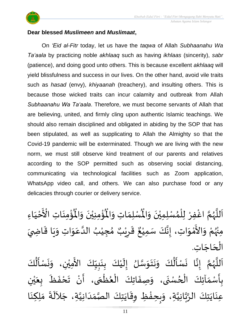

## **Dear blessed** *Muslimeen* **and** *Muslimaat***,**

On *'Eid al-Fitr* today, let us have the *taqwa* of Allah *Subhaanahu Wa Ta'aala* by practicing noble *akhlaaq* such as having *ikhlaas* (sincerity), *sabr* (patience), and doing good unto others. This is because excellent *akhlaaq* will yield blissfulness and success in our lives. On the other hand, avoid vile traits such as *hasad* (envy), *khiyaanah* (treachery), and insulting others. This is because those wicked traits can incur calamity and outbreak from Allah *Subhaanahu Wa Ta'aala*. Therefore, we must become servants of Allah that are believing, united, and firmly cling upon authentic Islamic teachings. We should also remain disciplined and obligated in abiding by the SOP that has been stipulated, as well as supplicating to Allah the Almighty so that the Covid-19 pandemic will be exterminated. Though we are living with the new norm, we must still observe kind treatment of our parents and relatives according to the SOP permitted such as observing social distancing, communicating via technological facilities such as Zoom application, WhatsApp video call, and others. We can also purchase food or any delicacies through courier or delivery service.

ؙۊؙٝڡؚڹؘاتؚ  $\ddot{\phantom{0}}$ ْ<br>باللہ ُْ ُؤْمِنِيْنَ وَالْمُ  $\tilde{\cdot}$  $\ddot{\phantom{0}}$ ْ ْ<br>باللہ ُْ ِ<br>لْمُسْلِمَاتِ وَالْمُ  $\tilde{\cdot}$  $\frac{1}{2}$ اَللَّهُمَّ اغْفِرْ لِلْمُسْلِمِيْنَ وَالْمُسْلِمَاتِ وَالْمُؤْمِنِيْنَ وَالْمُؤْمِنَاتِ الْأَخْيَاءِ  $\tilde{\cdot}$  $\ddot{\phantom{0}}$ ْ ›<br>ለ ٝ<br>ا ِ<br>و י<br>מ ر<br>ر<br>ر ا<br>ا َ  $\frac{1}{1}$ ْ ة<br>م ع الْأَخْيَاءِ ْ مِنْهُمْ وَالأَمْوَاتِ، إِنَّكَ سَمِيْعٌ قَرِيْبٌ مُجِيْبُ الدَّعَوَاتِ ُ<br>وړ ْ  $\ddot{\ }$ י<br>י —<br>ع  $\frac{1}{2}$ ِ<br>م ان<br>ا ُ ֦֧<u>֫</u>  $\frac{1}{2}$ ه<br>**د ا** ي ر ق <u>ر</u>  $\ddot{\tilde{}}$ ٌ ، إِنَّكَ سَمِيْعٌ قَرِيْبٌ مُجِيْبُ الدَّعَوَاتِ وَيَا قَاضِيَ ْ ا<br>با<br>: ।<br>-<br>- $\frac{1}{2}$  $\ddot{\mathbf{r}}$  $\ddot{\phantom{0}}$  $\frac{1}{2}$ الْحَاجَاتِ.  $\overline{\phantom{a}}$ ۔<br>∤ ُ<br>اُ∱  $\ddot{\phantom{0}}$  $\ddot{\phantom{0}}$  $\frac{1}{2}$ ْ َ<br>ج  $\ddot{\phantom{0}}$  $\mathbf{r}$  $\frac{1}{2}$  $\ddot{\phantom{0}}$  $\frac{1}{2}$ ُ<br>ا  $\frac{1}{2}$  $\ddot{\phantom{0}}$ ֕<br>֧֛֝֓֟֓֓֟׆<br>֧֛ ا<br>ا َ

كَ ل م<br>أ سْ زما ِن، و الأَمِيُّ وَنَتَوَسَّلُ إِلَيْكَ بِنَبِيِّكَ  $\frac{1}{1}$  $\frac{1}{2}$  $\frac{1}{2}$ **ٍ**<br>-ْ ।<br>-<br>-ان<br>سا  $\ddot{\ }$ كَ ل أ سْ ا ن اَللَّهُمَّ إِذَّ ।<br>-<br>-י<br>מ ر<br>ر<br>ر .<br>بِأَسْمَآئِكَ الْحُسْنَى، وَصِفَاتِكَ الْعُظُمَى، أَنْ تَحْفَظَ بِعَيْنِ ْ ي  $\frac{1}{2}$ ر<br>م  $\ddot{\phantom{0}}$  $\frac{1}{2}$ ْ  $\ddot{\mathbf{z}}$  $\frac{1}{2}$ ر<br>م }<br>• ֦֧֧֧֦֧֧֧֧֧֧֧֧֧֧֧֧֧֧֧֧֧֟֟֓֟֓֟֓֟֓֟֓֟֓֟֓֟֓֟֓֟֓֟֓֟֓֟֓֟֓֟֓֟֓֟֓֟֩֕֓֟֓֟֓֟֓֟֓֝֟֟֓֝֟֓֝֬֟֓֝֬֟֓֝֬֟֓֝֬֟֟֓֝֟֝֟֝֟<br>֧֧֧֧֝֩֟֟֩֩**֓**  $\ddot{\phantom{0}}$  $\frac{1}{2}$  $\ddot{\phantom{0}}$ ِّدِ ֦֧֦֧֦֧֦֧֝<u>֦</u>  $\frac{1}{2}$ ֧֧֦֧֦֧֧֦֧֦֧֦֧֦֧֦֧֧֧֦֧֦֧֦֧֦֧֦֧֦֧֦֚֬֝֟֜֟֓֕֝֟֓֕֝֓֕֓֕֓֝֬֝֓֕֓֟֓֝֬֟֓֟֓֟֓֟֓֝֬֝֓֟ ر<br>.<br>-ِ الرَّبَّانِيَّةِ، وَبِحِفْظِ وِقَايَتِكَ الصَّمَدَانِيَّةِ، جَلاَلَةَ مَلِكِنَا  $\frac{1}{1}$  $\frac{1}{\alpha}$ ا<br>تار  $\ddot{\phantom{0}}$ ا<br>المعا ْ  $\frac{1}{2}$  $\ddot{\ }$ ان<br>ا ن<br>م<br>۱ ان<br>ا ِ<br>تِكَ  $\ddot{\phantom{0}}$ اي  $\ddot{\phantom{0}}$ ِعن  $\ddot{\cdot}$ ِ<br>آباد  $\tilde{\phantom{a}}$ ن<br>ا  $\ddot{\phantom{0}}$  $\frac{1}{2}$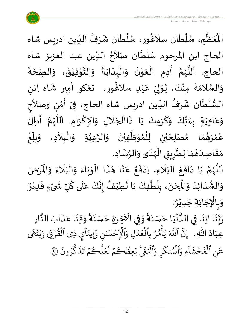

ْعَظَّمِ، سُلْطَان سلاڠُور، سُلْطَان شَرَفُ الدِّين ادريس شاه  $\frac{1}{1}$ ُ  $\mathbf{r}$  $\ddot{\phantom{0}}$ ់<br>**រ** ُ<br>ُ )<br>ፌ  $\ddot{\phantom{0}}$ ់<br>( <br>ر , ان<br>ا  $\frac{1}{2}$ ُْ اْل الحاج ابن المرحوم سُلْطَان صَلاَحُ الدِّين عبد العزيز شاه  $\frac{1}{1}$ <sup>}</sup>  $\tilde{\phantom{a}}$ `<br>أ ا<br>ا ر<br>م  $\ddot{\cdot}$ الحاج. اَللَّهُمَّ أَدِمِ الْعَوْنَ وَالْبِدَايَةَ وَالتَّوْفِيْقَ، وَالصِّحَّةَ ن<br>ا  $\tilde{\cdot}$  $\ddot{\phantom{0}}$ ْ י<br>י انا  $\frac{1}{2}$  $\ddot{\cdot}$  $\ddot{\phantom{0}}$ ا<br>ا '<br>ا  $\frac{1}{2}$  $\ddot{\phantom{0}}$ י<br>י  $\frac{1}{2}$ ֦֧֦֧֦֧֦֧֦֧֧֧֧֟֝֝֜֟֓֟֓֟֓֟֓֟֓֟֓֟֓֟֓֟֓֟֓֟֓֟֓֟֓֟֓<br>**֓**ׅׅ֧֓֡֡֡֜֡֡֟֬ ।<br>∕ ֚֝<br>֧֧֦֧֦֚֚֚֚֚֚֚֚֚֝֟֓֟֓֟֓֟֓֟֓֟֓֟֓֟֓֟֓֟֓֟֓֟֓֟֓֟֓֝֟֓֟֓֕֟֓֟֓֝֬֟ ن<br>م ر<br>ر<br>ر ا<br>الم ا<br>آ  $\sum_{i=1}^{n}$ ى<br>وَالسَّلامَةَ مِنْكَ، لِوَلِيِّ عَهْدِ سلاغُور، ت**ڠك**و أَمِير شَاه اِبْنِ ؚ<br>ۣ  $\ddot{\cdot}$  $\ddot{\ }$ ان<br>سا  $\tilde{\cdot}$ ْ  $\frac{1}{2}$ َ ر<br>شم ٝ<br>ْ ِ<br>م  $\frac{1}{2}$ ا<br>بر إ ا<br>م ।<br>न السُّلْطَان شَرَفُ الدِّين ادريس شاه الحاج، فِىْ أَمْنٍ وَصَلاَحٍ  $\tilde{\phantom{a}}$  $\frac{1}{2}$ <u>رِ</u> י<br>י ..<br>∶ُ ْ  $\frac{1}{1}$ ُ ر<br>په  $\mathbf{r}$ ٝ<br>ا  $\frac{3}{4}$ وَعَافِيَةٍ بِمَنَّكَ وَكَرَمِكَ يَا ذَاالْجَلالِ وَالإِكْرَامِ. اَللَّهُمَّ أَطِلُ  $\sum_{i=1}^{n}$ ل<br>م ُ<br>وفر<br>مراجع م<br>تار َ ।<br>∕ ا<br>د  $\tilde{\cdot}$  $\overline{\phantom{a}}$ ֦֧֦֧֦֧֝<u>֦</u>  $\ddot{\cdot}$  $\ddot{\phantom{0}}$ َ  $\tilde{\cdot}$  $\frac{1}{2}$  $\frac{1}{2}$  $\sum_{i=1}^{n}$  $\frac{1}{1}$ ِ<br>م  $\tilde{\cdot}$ عُمْرَهُمَا مُصْلِحَيْنِ لِلْمُوَظَّفِيْنَ وَالرَّعِيَّةِ وَالْبِلاَدِ، وَبِلَّغْ ات<br>ا ان<br>ا  $\tilde{\cdot}$  $\ddot{\phantom{0}}$ ْ ا<br>ا  $\frac{1}{2}$ ›<br>ለ ់<br>( ْ ي  $\overline{\phantom{a}}$  $\frac{1}{2}$  $\frac{1}{2}$ ़<br>ै י<br>ה  $\frac{1}{2}$ ້<br>.<br>. ֝<br>֧֡֟֟֟֟֟֟֟֟֟֟֟֟֓֟֓֟֓֟֓֟֓֟֓֟֓֟֟֟֟֟֟֟֟֟֟֟֡֟  $\frac{1}{2}$  $\frac{1}{2}$  $\tilde{\phantom{a}}$ ֦֧֦֧֦֧֝<u>֦</u> م<br>م مَقَاصِدَهُمَا لِطَرِيقِ الْهُدَى وَالرَّشَادِ. .<br>په  $\ddot{\ }$  $\frac{1}{1}$ ر<br>ر<br>ر ֦֧֦֧֦֧֝<u>֦</u> <u>ر</u> ا<br>م  $\frac{1}{\alpha}$ ُ  $\frac{1}{1}$  $\frac{1}{2}$  $\frac{1}{2}$ 

ن<br>ا اَللَّهُمَّ يَا دَافِعَ الْبَلَاءِ، اِدْفَعْ عَنَّا هَذَا الْوَبَاءَ وَالْبَلَاءَ وَالْمَرَضَ ر<br>ر<br>ر ا<br>ا  $\overline{\phantom{a}}$  $\ddot{\phantom{0}}$  $\sim$  $\ddot{\phantom{0}}$ ب<br>آ َ نہ<br>م∤  $\frac{1}{2}$  $\ddot{\phantom{0}}$  $\frac{1}{2}$ ֦֧֦֧֦֧֧֧֧֦֧֧֧֧֧֧֧֧֧֧֧֧֧֝֝֟֟֓֟֓֟֓֟֓֟֓֟֓֟֓֟֓֟֓֟֓֟֓֟֓֟֓֟֓֟֓֟֩֕֟֓֟֓֝֟֓֟֓֝֟֓֝֟֓֝֬֟֓֝֟֓֝֬֟֓֝֬֟֓֝֟֓֟֓֝֬֟֟֝֟֝֟<br>֧֧֧֧֝֩֩֩֩**֓**  $\ddot{\cdot}$  $\ddot{\phantom{0}}$ انا ِ<br>م ֦֧<u>֫</u>  $\ddot{\cdot}$ ْ وَالْبَلَاءَ وَالْمُ  $\frac{1}{2}$  $\frac{1}{2}$ ً<br>ن  $\frac{1}{2}$ ֦֧֦֧֦֧֦֧֦֧֦֧֧֦֧֧֝֟֓֟֓֓֟֓֟֓֟֓֟֓֟֓֟֓֟֓֟֓֟֓֟֓֟֓֟֓֟֓֝֟֓֟֓֟֓<br>֧֝֩֩**֓**֧֧֓֟֡֡֬֟֓  $\tilde{\cdot}$ .<br>وَالشَّدَائِدَ وَالْمِحَنَ، بِلُطْفِكَ يَا لَطِيْفُ إِنَّكَ ا<br>با<br>: ।<br>-<br>-ُ  $\mathbf{r}$ ا<br>با ֦֧֦֧֦֧֦֧֦֧֦֧֦֧֦֧֦֧֦֧֦֧֦֧֦֧֝<br>**֧**  $\frac{1}{\sqrt{2}}$ <u>ر</u><br>- $\ddot{\phantom{0}}$  $\overline{\phantom{a}}$ ້<br>,  $\frac{1}{2}$  $\frac{1}{1}$  $\frac{1}{1}$ ن<br>ما  $\frac{1}{2}$ و<br>م عَلَى كُلِّ شَّىْءٍ قَدِيْرٌ ْ  $\ddot{\mathbf{r}}$ **∶** ْ  $\ddot{\phantom{0}}$ ِّ م ِ<br>آ ِ<br>م  $\tilde{\cdot}$ وَبِالْإِجَابَةِ جَدِيْرٌ.  $\ddot{\phantom{0}}$ ֦֧֦֧֦֧֦֧֦֧֦֧֦֧֦֧֦֧֝֟֓֟֓֓֟֓֓<br>**֧**  $\frac{1}{2}$ و<br>م جَدِيْرٌ. ٝ<br>ؙ  $\ddot{\phantom{0}}$ 

رِّ بَنَا آتِنَا فِي الدُّنْيَا حَسَنَةً وَفِي اْلَآخِرَةِ حَسَنَةً وَقِنَا عَذَابَ النَّار انا  $\ddot{\cdot}$  $\frac{1}{2}$  $\ddot{\phantom{0}}$  $\frac{1}{2}$ ً<br>په<br>•  $\ddot{\phantom{0}}$  $\overline{\phantom{a}}$  $\frac{1}{2}$ ِ<br>اس ؗ<br>ا  $\frac{1}{2}$ ً<br>په<br>•  $\ddot{\phantom{0}}$  $\overline{\phantom{a}}$  $\frac{1}{1}$ ا<br>ا ِّ<br>و  $\ddot{\phantom{0}}$ ُمَّةٍ<br>مواليد ن<br>تار  $\ddot{\phantom{0}}$ .<br>عِبَادَ اللّٰهِ، ۚ إِنَّ ٱللَّهَ يَأْمُرُ بِٱلْعَدۡلِ وَٱلۡإِحۡسَٰنِ وَإِيتَآيٖ ذِى ٱلۡقُرۡكِ وَيَنۡهَىٰ  $\sim$  $\frac{1}{1}$  َٰ  $\ddot{\cdot}$ ِرِ ر<br>بد ِ<br>بَیْ وَ ي ذِي القُرْبَي ؚ<br>ۣ ور ہ<br>1 ا<br>آ ا  $\ddot{\phantom{0}}$ ِ<br>اَلۡإِحۡسَٰنِ وَإِيتَـ  $\frac{1}{2}$ ر<br>م ر<br>م ِل و د سہ<br>ا  $\frac{1}{2}$ ع ِٱل ب ر م أ ر<br>1 و<br>. و<br>م =<br>ءِ ِ<br>پ ي هَ اللَّهَ بہ<br>• إِن ِ<br>ہ ِ و ر ر<br>م المُنك و ہ<br>1 َ<br>ہ ءِ و  $\tilde{I}$ ا ्<br>रू ش ح  $\frac{1}{2}$  $\ddot{\cdot}$ نِ الفَ ہ<br>1 ِ<br>ح ع .<br>` رُونَ و<br>, س<br>سم ك ِ<br>پ ذ  $\ddot{\cdot}$ ڪُمُ تَـُ  $\frac{1}{2}$ و ۔<br>ہ<br>ا  $\mu$  $\frac{1}{2}$ ع ر<br>1 مِظُڪُمُ ل  $\frac{1}{2}$ ر ور ِ<br>پ اَلْبَغْيِ يَعِظُكُمْ لَعَلَّكُمْ تَذَكَّرُونَ ۞ ہ<br>1